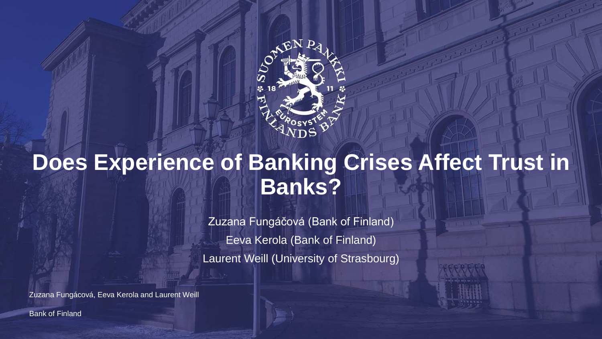

# **Does Experience of Banking Crises Affect Trust in Banks?**

Zuzana Fungáčová (Bank of Finland) Eeva Kerola (Bank of Finland) Laurent Weill (University of Strasbourg)

Zuzana Fungácová, Eeva Kerola and Laurent Weill

Bank of Finland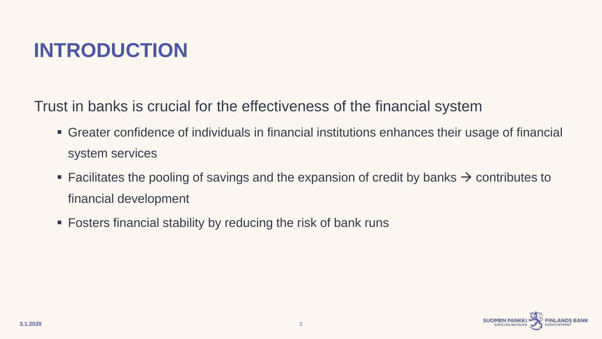#### **INTRODUCTION**

Trust in banks is crucial for the effectiveness of the financial system

- Greater confidence of individuals in financial institutions enhances their usage of financial system services
- Facilitates the pooling of savings and the expansion of credit by banks  $\rightarrow$  contributes to financial development
- **Fosters financial stability by reducing the risk of bank runs**

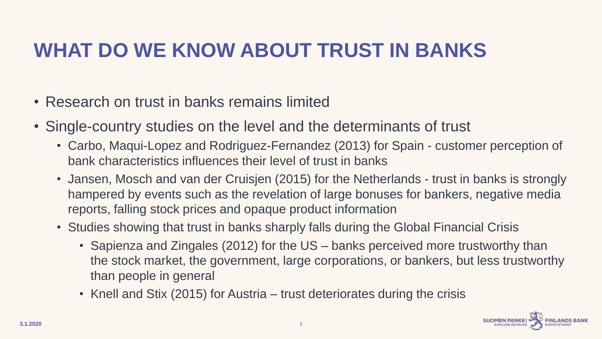# **WHAT DO WE KNOW ABOUT TRUST IN BANKS**

- Research on trust in banks remains limited
- Single-country studies on the level and the determinants of trust
	- Carbo, Maqui-Lopez and Rodriguez-Fernandez (2013) for Spain customer perception of bank characteristics influences their level of trust in banks
	- Jansen, Mosch and van der Cruisjen (2015) for the Netherlands trust in banks is strongly hampered by events such as the revelation of large bonuses for bankers, negative media reports, falling stock prices and opaque product information
	- Studies showing that trust in banks sharply falls during the Global Financial Crisis
		- Sapienza and Zingales (2012) for the US banks perceived more trustworthy than the stock market, the government, large corporations, or bankers, but less trustworthy than people in general
		- Knell and Stix (2015) for Austria trust deteriorates during the crisis

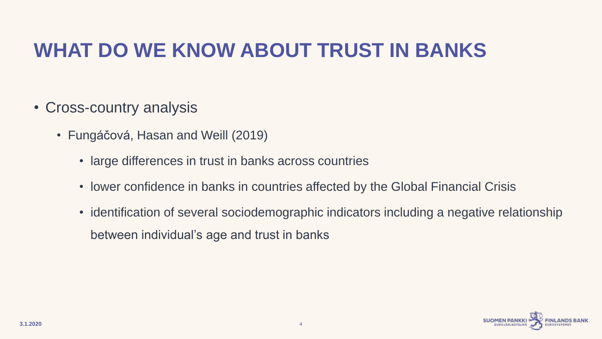#### **WHAT DO WE KNOW ABOUT TRUST IN BANKS**

- Cross-country analysis
	- Fungáčová, Hasan and Weill (2019)
		- large differences in trust in banks across countries
		- lower confidence in banks in countries affected by the Global Financial Crisis
		- identification of several sociodemographic indicators including a negative relationship between individual's age and trust in banks

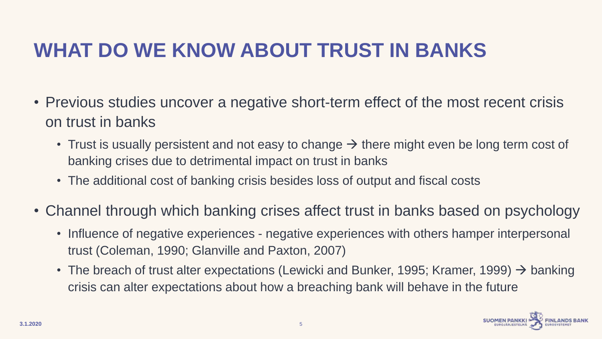# **WHAT DO WE KNOW ABOUT TRUST IN BANKS**

- Previous studies uncover a negative short-term effect of the most recent crisis on trust in banks
	- Trust is usually persistent and not easy to change  $\rightarrow$  there might even be long term cost of banking crises due to detrimental impact on trust in banks
	- The additional cost of banking crisis besides loss of output and fiscal costs
- Channel through which banking crises affect trust in banks based on psychology
	- Influence of negative experiences negative experiences with others hamper interpersonal trust (Coleman, 1990; Glanville and Paxton, 2007)
	- The breach of trust alter expectations (Lewicki and Bunker, 1995; Kramer, 1999)  $\rightarrow$  banking crisis can alter expectations about how a breaching bank will behave in the future

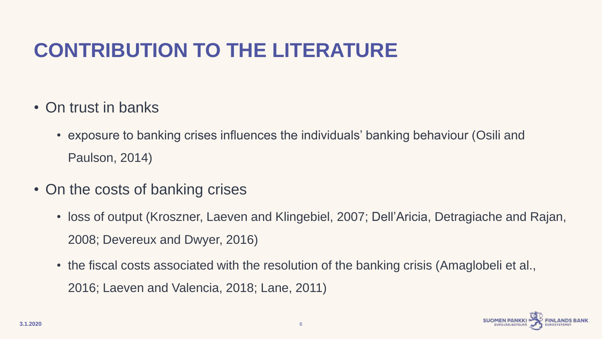# **CONTRIBUTION TO THE LITERATURE**

- On trust in banks
	- exposure to banking crises influences the individuals' banking behaviour (Osili and Paulson, 2014)
- On the costs of banking crises
	- loss of output (Kroszner, Laeven and Klingebiel, 2007; Dell'Aricia, Detragiache and Rajan, 2008; Devereux and Dwyer, 2016)
	- the fiscal costs associated with the resolution of the banking crisis (Amaglobeli et al., 2016; Laeven and Valencia, 2018; Lane, 2011)

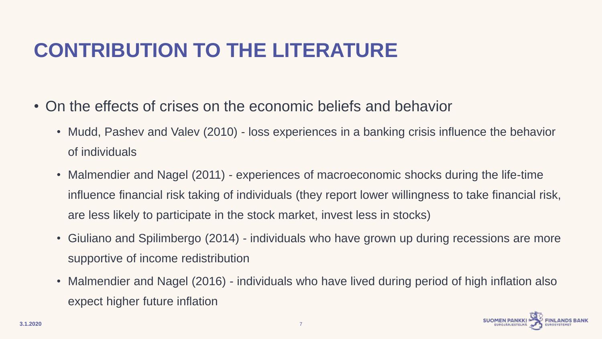# **CONTRIBUTION TO THE LITERATURE**

- On the effects of crises on the economic beliefs and behavior
	- Mudd, Pashev and Valev (2010) loss experiences in a banking crisis influence the behavior of individuals
	- Malmendier and Nagel (2011) experiences of macroeconomic shocks during the life-time influence financial risk taking of individuals (they report lower willingness to take financial risk, are less likely to participate in the stock market, invest less in stocks)
	- Giuliano and Spilimbergo (2014) individuals who have grown up during recessions are more supportive of income redistribution
	- Malmendier and Nagel (2016) individuals who have lived during period of high inflation also expect higher future inflation

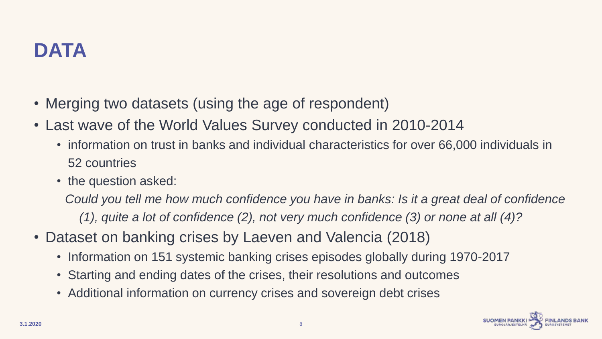

- Merging two datasets (using the age of respondent)
- Last wave of the World Values Survey conducted in 2010-2014
	- information on trust in banks and individual characteristics for over 66,000 individuals in 52 countries
	- the question asked:

*Could you tell me how much confidence you have in banks: Is it a great deal of confidence (1), quite a lot of confidence (2), not very much confidence (3) or none at all (4)?* 

- Dataset on banking crises by Laeven and Valencia (2018)
	- Information on 151 systemic banking crises episodes globally during 1970-2017
	- Starting and ending dates of the crises, their resolutions and outcomes
	- Additional information on currency crises and sovereign debt crises

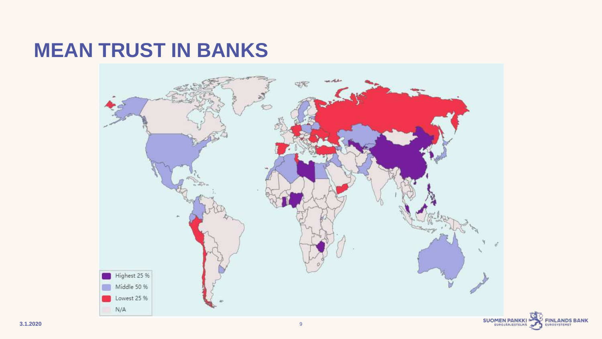#### **MEAN TRUST IN BANKS**



**FINLANDS BANK**<br>EUROSYSTEMET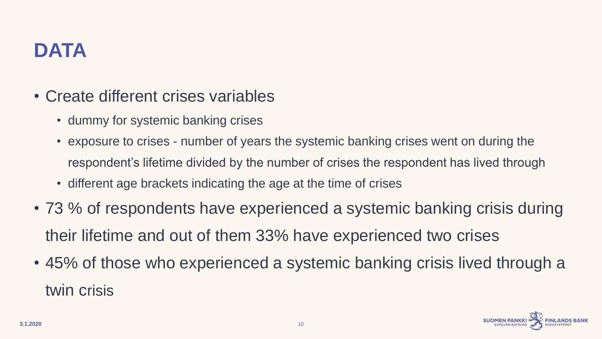# **DATA**

- Create different crises variables
	- dummy for systemic banking crises
	- exposure to crises number of years the systemic banking crises went on during the respondent's lifetime divided by the number of crises the respondent has lived through
	- different age brackets indicating the age at the time of crises
- 73 % of respondents have experienced a systemic banking crisis during their lifetime and out of them 33% have experienced two crises
- 45% of those who experienced a systemic banking crisis lived through a twin crisis

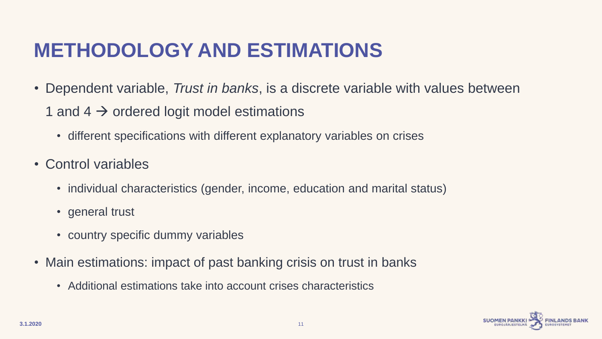#### **METHODOLOGY AND ESTIMATIONS**

- Dependent variable, *Trust in banks*, is a discrete variable with values between
	- 1 and 4  $\rightarrow$  ordered logit model estimations
		- different specifications with different explanatory variables on crises
- Control variables
	- individual characteristics (gender, income, education and marital status)
	- general trust
	- country specific dummy variables
- Main estimations: impact of past banking crisis on trust in banks
	- Additional estimations take into account crises characteristics

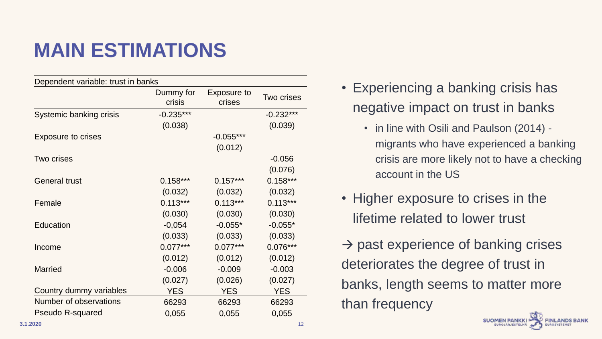# **MAIN ESTIMATIONS**

| Dependent variable: trust in banks |                     |                       |             |  |  |
|------------------------------------|---------------------|-----------------------|-------------|--|--|
|                                    | Dummy for<br>crisis | Exposure to<br>crises |             |  |  |
| Systemic banking crisis            | $-0.235***$         |                       | $-0.232***$ |  |  |
|                                    | (0.038)             |                       | (0.039)     |  |  |
| <b>Exposure to crises</b>          |                     | $-0.055***$           |             |  |  |
|                                    |                     | (0.012)               |             |  |  |
| Two crises                         |                     |                       | $-0.056$    |  |  |
|                                    |                     |                       | (0.076)     |  |  |
| <b>General trust</b>               | $0.158***$          | $0.157***$            | $0.158***$  |  |  |
|                                    | (0.032)             | (0.032)               | (0.032)     |  |  |
| Female                             | $0.113***$          | $0.113***$            | $0.113***$  |  |  |
|                                    | (0.030)             | (0.030)               | (0.030)     |  |  |
| Education                          | $-0,054$            | $-0.055*$             | $-0.055*$   |  |  |
|                                    | (0.033)             | (0.033)               | (0.033)     |  |  |
| Income                             | $0.077***$          | $0.077***$            | $0.076***$  |  |  |
|                                    | (0.012)             | (0.012)               | (0.012)     |  |  |
| <b>Married</b>                     | $-0.006$            | $-0.009$              | $-0.003$    |  |  |
|                                    | (0.027)             | (0.026)               | (0.027)     |  |  |
| Country dummy variables            | <b>YES</b>          | <b>YES</b>            | <b>YES</b>  |  |  |
| Number of observations             | 66293               | 66293                 | 66293       |  |  |
| <b>Pseudo R-squared</b>            | 0,055               | 0,055                 | 0,055       |  |  |

- Experiencing a banking crisis has negative impact on trust in banks
	- in line with Osili and Paulson (2014) migrants who have experienced a banking crisis are more likely not to have a checking account in the US
- Higher exposure to crises in the lifetime related to lower trust
- $\rightarrow$  past experience of banking crises deteriorates the degree of trust in banks, length seems to matter more than frequency

**SUOMEN PANKKI UROJÃRJESTELM**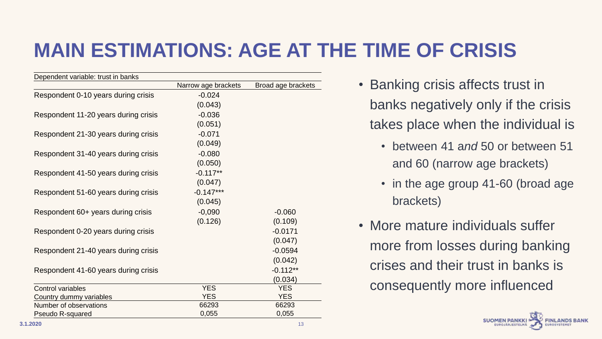# **MAIN ESTIMATIONS: AGE AT THE TIME OF CRISIS**

| Dependent variable: trust in banks   |                     |                    |
|--------------------------------------|---------------------|--------------------|
|                                      | Narrow age brackets | Broad age brackets |
| Respondent 0-10 years during crisis  | $-0.024$            |                    |
|                                      | (0.043)             |                    |
| Respondent 11-20 years during crisis | $-0.036$            |                    |
|                                      | (0.051)             |                    |
| Respondent 21-30 years during crisis | $-0.071$            |                    |
|                                      | (0.049)             |                    |
| Respondent 31-40 years during crisis | $-0.080$            |                    |
|                                      | (0.050)             |                    |
| Respondent 41-50 years during crisis | $-0.117**$          |                    |
|                                      | (0.047)             |                    |
| Respondent 51-60 years during crisis | $-0.147***$         |                    |
|                                      | (0.045)             |                    |
| Respondent 60+ years during crisis   | $-0,090$            | $-0.060$           |
|                                      | (0.126)             | (0.109)            |
| Respondent 0-20 years during crisis  |                     | $-0.0171$          |
|                                      |                     | (0.047)            |
| Respondent 21-40 years during crisis |                     | $-0.0594$          |
|                                      |                     | (0.042)            |
| Respondent 41-60 years during crisis |                     | $-0.112**$         |
|                                      |                     | (0.034)            |
| <b>Control variables</b>             | <b>YES</b>          | <b>YES</b>         |
| Country dummy variables              | <b>YES</b>          | <b>YES</b>         |
| Number of observations               | 66293               | 66293              |
| Pseudo R-squared                     | 0,055               | 0,055              |

- Banking crisis affects trust in banks negatively only if the crisis takes place when the individual is
	- between 41 a*nd* 50 or between 51 and 60 (narrow age brackets)
	- in the age group 41-60 (broad age brackets)
- More mature individuals suffer more from losses during banking crises and their trust in banks is consequently more influenced

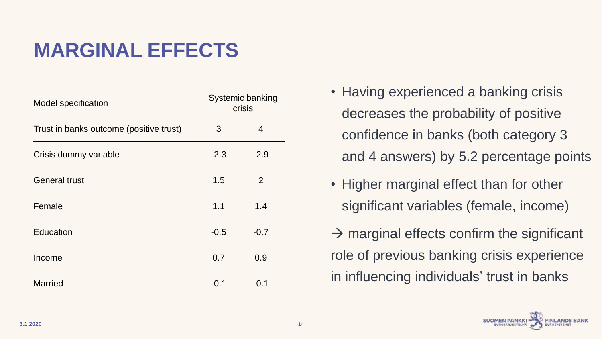# **MARGINAL EFFECTS**

| <b>Model specification</b>              | <b>Systemic banking</b><br>crisis |        |  |  |
|-----------------------------------------|-----------------------------------|--------|--|--|
| Trust in banks outcome (positive trust) | 3                                 | 4      |  |  |
| Crisis dummy variable                   | $-2.3$                            | $-2.9$ |  |  |
| <b>General trust</b>                    | 1.5                               | 2      |  |  |
| Female                                  | 1.1                               | 1.4    |  |  |
| <b>Education</b>                        | $-0.5$                            | $-0.7$ |  |  |
| Income                                  | 0.7                               | 0.9    |  |  |
| <b>Married</b>                          | $-0.1$                            | $-0.1$ |  |  |

- Having experienced a banking crisis decreases the probability of positive confidence in banks (both category 3 and 4 answers) by 5.2 percentage points
- Higher marginal effect than for other significant variables (female, income)
- $\rightarrow$  marginal effects confirm the significant role of previous banking crisis experience in influencing individuals' trust in banks

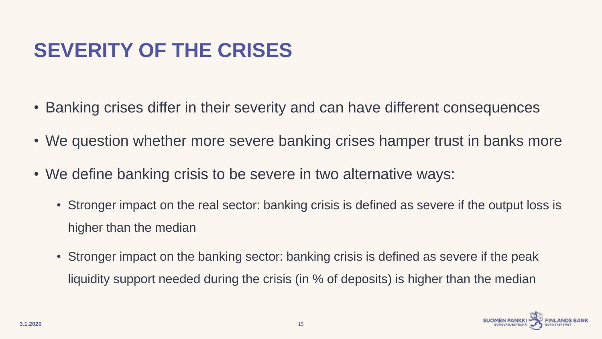# **SEVERITY OF THE CRISES**

- Banking crises differ in their severity and can have different consequences
- We question whether more severe banking crises hamper trust in banks more
- We define banking crisis to be severe in two alternative ways:
	- Stronger impact on the real sector: banking crisis is defined as severe if the output loss is higher than the median
	- Stronger impact on the banking sector: banking crisis is defined as severe if the peak liquidity support needed during the crisis (in % of deposits) is higher than the median

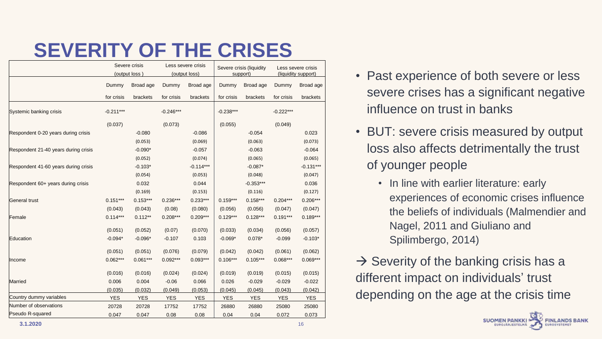#### **SEVERITY OF THE CRISES**

|                                      | Severe crisis<br>(output loss) |            | Less severe crisis<br>(output loss) |             | Severe crisis (liquidity<br>support) |             | Less severe crisis<br>(liquidity support) |             |
|--------------------------------------|--------------------------------|------------|-------------------------------------|-------------|--------------------------------------|-------------|-------------------------------------------|-------------|
|                                      | Dummy                          | Broad age  | Dummy                               | Broad age   | Dummy                                | Broad age   | Dummy                                     | Broad age   |
|                                      | for crisis                     | brackets   | for crisis                          | brackets    | for crisis                           | brackets    | for crisis                                | brackets    |
| Systemic banking crisis              | $-0.211***$                    |            | $-0.246***$                         |             | $-0.238***$                          |             | $-0.222***$                               |             |
|                                      | (0.037)                        |            | (0.073)                             |             | (0.055)                              |             | (0.049)                                   |             |
| Respondent 0-20 years during crisis  |                                | $-0.080$   |                                     | $-0.086$    |                                      | $-0.054$    |                                           | 0.023       |
|                                      |                                | (0.053)    |                                     | (0.069)     |                                      | (0.063)     |                                           | (0.073)     |
| Respondent 21-40 years during crisis |                                | $-0.090*$  |                                     | $-0.057$    |                                      | $-0.063$    |                                           | $-0.064$    |
|                                      |                                | (0.052)    |                                     | (0.074)     |                                      | (0.065)     |                                           | (0.065)     |
| Respondent 41-60 years during crisis |                                | $-0.103*$  |                                     | $-0.114***$ |                                      | $-0.087*$   |                                           | $-0.131***$ |
|                                      |                                | (0.054)    |                                     | (0.053)     |                                      | (0.048)     |                                           | (0.047)     |
| Respondent 60+ years during crisis   |                                | 0.032      |                                     | 0.044       |                                      | $-0.353***$ |                                           | 0.036       |
|                                      |                                | (0.169)    |                                     | (0.153)     |                                      | (0.116)     |                                           | (0.127)     |
| General trust                        | $0.151***$                     | $0.153***$ | $0.236***$                          | $0.233***$  | $0.159***$                           | $0.158***$  | $0.204***$                                | $0.206***$  |
|                                      | (0.043)                        | (0.043)    | (0.08)                              | (0.080)     | (0.056)                              | (0.056)     | (0.047)                                   | (0.047)     |
| Female                               | $0.114***$                     | $0.112**$  | $0.208***$                          | $0.209***$  | $0.129***$                           | $0.128***$  | $0.191***$                                | $0.189***$  |
|                                      | (0.051)                        | (0.052)    | (0.07)                              | (0.070)     | (0.033)                              | (0.034)     | (0.056)                                   | (0.057)     |
| Education                            | $-0.094*$                      | $-0.096*$  | $-0.107$                            | 0.103       | $-0.069*$                            | $0.078*$    | $-0.099$                                  | $-0.103*$   |
|                                      | (0.051)                        | (0.051)    | (0.076)                             | (0.079)     | (0.042)                              | (0.042)     | (0.061)                                   | (0.062)     |
| <b>Income</b>                        | $0.062***$                     | $0.061***$ | $0.092***$                          | $0.093***$  | $0.106***$                           | $0.105***$  | $0.068***$                                | $0.069***$  |
|                                      | (0.016)                        | (0.016)    | (0.024)                             | (0.024)     | (0.019)                              | (0.019)     | (0.015)                                   | (0.015)     |
| Married                              | 0.006                          | 0.004      | $-0.06$                             | 0.066       | 0.026                                | $-0.029$    | $-0.029$                                  | $-0.022$    |
|                                      | (0.035)                        | (0.032)    | (0.049)                             | (0.053)     | (0.045)                              | (0.045)     | (0.043)                                   | (0.042)     |
| Country dummy variables              | <b>YES</b>                     | <b>YES</b> | <b>YES</b>                          | <b>YES</b>  | <b>YES</b>                           | <b>YES</b>  | <b>YES</b>                                | <b>YES</b>  |
| Number of observations               | 20728                          | 20728      | 17752                               | 17752       | 26880                                | 26880       | 25080                                     | 25080       |
| Pseudo R-squared                     | 0.047                          | 0.047      | 0.08                                | 0.08        | 0.04                                 | 0.04        | 0.072                                     | 0.073       |

- Past experience of both severe or less severe crises has a significant negative influence on trust in banks
- BUT: severe crisis measured by output loss also affects detrimentally the trust of younger people
	- In line with earlier literature: early experiences of economic crises influence the beliefs of individuals (Malmendier and Nagel, 2011 and Giuliano and Spilimbergo, 2014)
- $\rightarrow$  Severity of the banking crisis has a different impact on individuals' trust depending on the age at the crisis time

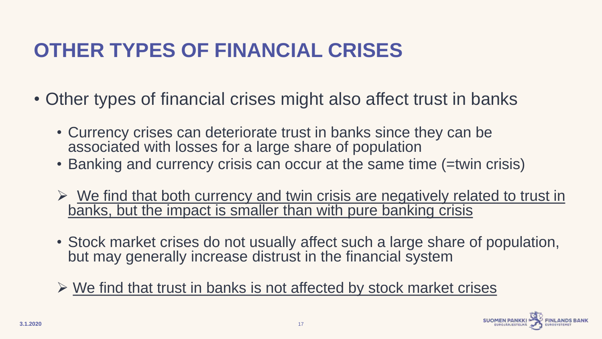# **OTHER TYPES OF FINANCIAL CRISES**

- Other types of financial crises might also affect trust in banks
	- Currency crises can deteriorate trust in banks since they can be associated with losses for a large share of population
	- Banking and currency crisis can occur at the same time (=twin crisis)
	- $\triangleright$  We find that both currency and twin crisis are negatively related to trust in banks, but the impact is smaller than with pure banking crisis
	- Stock market crises do not usually affect such a large share of population, but may generally increase distrust in the financial system
	- $\triangleright$  We find that trust in banks is not affected by stock market crises

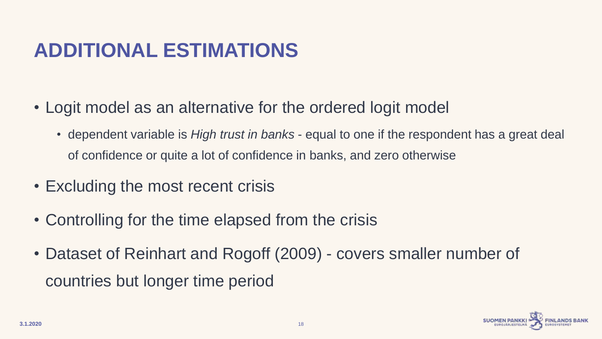# **ADDITIONAL ESTIMATIONS**

- Logit model as an alternative for the ordered logit model
	- dependent variable is *High trust in banks* equal to one if the respondent has a great deal of confidence or quite a lot of confidence in banks, and zero otherwise
- Excluding the most recent crisis
- Controlling for the time elapsed from the crisis
- Dataset of Reinhart and Rogoff (2009) covers smaller number of countries but longer time period

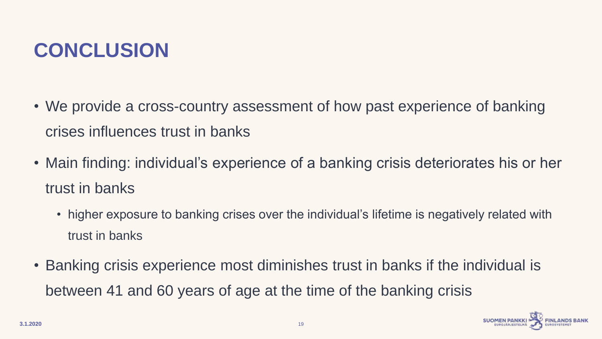#### **CONCLUSION**

- We provide a cross-country assessment of how past experience of banking crises influences trust in banks
- Main finding: individual's experience of a banking crisis deteriorates his or her trust in banks
	- higher exposure to banking crises over the individual's lifetime is negatively related with trust in banks
- Banking crisis experience most diminishes trust in banks if the individual is between 41 and 60 years of age at the time of the banking crisis

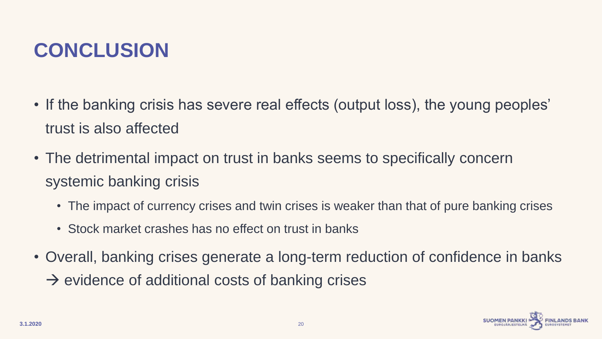# **CONCLUSION**

- If the banking crisis has severe real effects (output loss), the young peoples' trust is also affected
- The detrimental impact on trust in banks seems to specifically concern systemic banking crisis
	- The impact of currency crises and twin crises is weaker than that of pure banking crises
	- Stock market crashes has no effect on trust in banks
- Overall, banking crises generate a long-term reduction of confidence in banks
	- $\rightarrow$  evidence of additional costs of banking crises